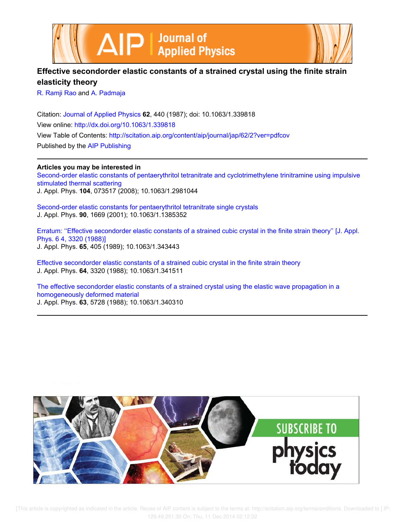



# **Effective secondorder elastic constants of a strained crystal using the finite strain elasticity theory**

R. Ramji Rao and A. Padmaja

Citation: Journal of Applied Physics **62**, 440 (1987); doi: 10.1063/1.339818 View online: http://dx.doi.org/10.1063/1.339818 View Table of Contents: http://scitation.aip.org/content/aip/journal/jap/62/2?ver=pdfcov Published by the AIP Publishing

**Articles you may be interested in**

Second-order elastic constants of pentaerythritol tetranitrate and cyclotrimethylene trinitramine using impulsive stimulated thermal scattering J. Appl. Phys. **104**, 073517 (2008); 10.1063/1.2981044

Second-order elastic constants for pentaerythritol tetranitrate single crystals J. Appl. Phys. **90**, 1669 (2001); 10.1063/1.1385352

Erratum: ''Effective secondorder elastic constants of a strained cubic crystal in the finite strain theory'' [J. Appl. Phys. 6 4, 3320 (1988)] J. Appl. Phys. **65**, 405 (1989); 10.1063/1.343443

Effective secondorder elastic constants of a strained cubic crystal in the finite strain theory J. Appl. Phys. **64**, 3320 (1988); 10.1063/1.341511

The effective secondorder elastic constants of a strained crystal using the elastic wave propagation in a homogeneously deformed material J. Appl. Phys. **63**, 5728 (1988); 10.1063/1.340310

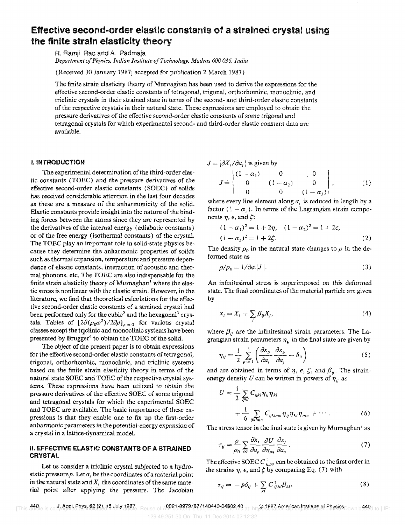# Effective second-order elastic constants of a strained crystal using the finite strain elasticity theory

R. Ramji Rao and A Padmaja *Department of Physics, Indian Institute of Technology, Madras 600 036, India* 

(Received 30 January 1987; accepted for publication 2 March 1987)

The finite strain elasticity theory of Murnaghan has been used to derive the expressions for the effective second-order elastic constants of tetragonal, trigonal, orthorhombic, monoclinic, and triclinic crystals in their strained state in terms of the second- and third-order elastic constants of the respective crystals in their natural state. These expressions are employed to obtain the pressure derivatives of the effective second-order elastic constants of some trigonal and tetragonal crystals for which experimental second- and third-order elastic constant data are available.

# I. INTRODUCTION

The experimental determination of the third-order elastic constants (TOEC) and the pressure derivatives of the effective second-order elastic constants (SOEC) of solids has received considerable attention in the last four decades as these are a measure of the anharmonicity of the solid. Elastic constants provide insight into the nature of the binding forces between the atoms since they are represented by the derivatives of the internal energy (adiabatic constants) or of the free energy (isothermal constants) of the crystal. The TOEC play an important role in solid-state physics because they determine the anharmonic properties of solids such as thermal expansion, temperature and pressure dependence of elastic constants, interaction of acoustic and thermal phonons, etc. The TOEC are also indispensable for the finite strain elasticity theory of Murnaghan<sup>1</sup> where the elastic stress is nonlinear with the elastic strain. However, in the literature, we find that theoretical calculations for the effective second-order elastic constants of a strained crystal had been performed only for the cubic<sup>2</sup> and the hexagonal<sup>3</sup> crystals. Tables of  $\left[2\partial(\rho_0\omega^2)/2\partial p\right]_{p=0}$  for various crystal classes except the triclinic and monoclinic systems have been presented by  $Brugger<sup>4</sup>$  to obtain the TOEC of the solid.

The object of the present paper is to obtain expressions for the effective second-order elastic constants of tetragonal, trigonal, orthorhombic, monoclinic, and triclinic systems based on the finite strain elasticity theory in terms of the natural state SOEC and TOEC of the respective crystal systems. These expressions have been utilized to obtain the pressure derivatives of the effective SOEC of some trigonal and tetragonal crystals for which the experimental SOEC and TOEC are available. The basic importance of these expressions is that they enable one to fix up the first-order anharmonic parameters in the potential-energy expansion of a crystal in a lattice-dynamical model.

# II. EFFECTIVE ELASTIC CONSTANTS OF A STRAINED **CRYSTAL**

Let us consider a tricIinic crystal subjected to a hydrostatic pressure  $p$ . Let  $q_i$  be the coordinates of a material point in the natural state and  $X_i$  the coordinates of the same material point after applying the pressure. The Jacobian

 $J = |\partial X_i/\partial a_i|$  is given by

$$
J = \begin{vmatrix} (1 - \alpha_1) & 0 & 0 \\ 0 & (1 - \alpha_2) & 0 \\ 0 & 0 & (1 - \alpha_3) \end{vmatrix},
$$
 (1)

where every line element along  $a_i$  is reduced in length by a factor  $(1 - \alpha_i)$ . In terms of the Lagrangian strain components  $\eta$ ,  $\epsilon$ , and  $\zeta$ :

$$
(1 - \alpha_1)^2 = 1 + 2\eta, \quad (1 - \alpha_2)^2 = 1 + 2\epsilon,
$$
  

$$
(1 - \alpha_3)^2 = 1 + 2\zeta.
$$
 (2)

The density  $\rho_0$  in the natural state changes to  $\rho$  in the deformed state as

$$
\rho/\rho_0 = 1/\text{det}|\mathbf{J}|.\tag{3}
$$

An infinitesimal stress is superimposed on this deformed state. The final coordinates of the material particle are given by

$$
x_i = X_i + \sum_j \beta_{ij} X_j, \tag{4}
$$

where  $\beta_{ij}$  are the infinitesimal strain parameters. The La-

grangian strain parameters 
$$
\eta_{ij}
$$
 in the final state are given by  
\n
$$
\eta_{ij} = \frac{1}{2} \sum_{\rho=1}^{3} \left( \frac{\partial x_{\rho}}{\partial a_i} \frac{\partial x_{\rho}}{\partial a_j} - \delta_{ij} \right)
$$
\n(5)

and are obtained in terms of  $\eta$ ,  $\epsilon$ ,  $\zeta$ , and  $\beta_{ii}$ . The strainenergy density U can be written in powers of  $\eta_{ii}$  as

$$
U = \frac{1}{2} \sum_{ijkl} C_{ijkl} \eta_{ij} \eta_{kl}
$$
  
+ 
$$
\frac{1}{6} \sum_{ijklmn} C_{ijklmn} \eta_{ij} \eta_{kl} \eta_{mn} + \cdots
$$
 (6)

The stress tensor in the final state is given by Murnaghan<sup>1</sup> as

$$
\tau_{ij} = \frac{\rho}{\rho_0} \sum_{pq} \frac{\partial x_i}{\partial a_p} \frac{\partial U}{\partial \eta_{pq}} \frac{\partial x_j}{\partial a_q}.
$$
\n(7)

The effective SOEC  $C_{ij,pq}^1$  can be obtained to the first order in the strains  $\eta$ ,  $\epsilon$ , and  $\zeta$  by comparing Eq. (7) with

$$
\tau_{ij} = -p\delta_{ij} + \sum_{kl} C_{ij,kl}^{1} \beta_{kl}, \qquad (8)
$$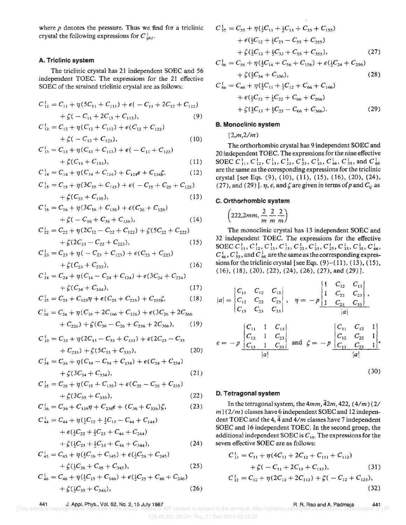where  $p$  denotes the pressure. Thus we find for a triclinic crystal the following expressions for  $C_{ijkl}^1$ .

## A. Triclinic system

The triclinic crystal has 21 independent SOEC and 56 independent TOEC. The expressions for the 21 effective SOEC of the strained triclinic crystal are as follows:

$$
C_{11}^{1} = C_{11} + \eta (5C_{11} + C_{111}) + \epsilon (-C_{11} + 2C_{12} + C_{112})
$$
  
+  $\xi (-C_{11} + 2C_{13} + C_{113}),$  (9)

$$
C_{12}^{1} = C_{12} + \eta (C_{12} + C_{112}) + \epsilon (C_{12} + C_{122})
$$
  
+  $\zeta (-C_{12} + C_{123}),$  (10)

$$
C_{13}^{1} = C_{13} + \eta (C_{13} + C_{113}) + \epsilon (-C_{13} + C_{123})
$$
  
+  $\zeta (C_{13} + C_{133}),$  (11)

$$
C_{14}^{1} = C_{14} + \eta (C_{14} + C_{114}) + C_{124} \varepsilon + C_{134} \zeta, \qquad (12)
$$

$$
C_{15}^{1} = C_{15} + \eta (3C_{15} + C_{115}) + \epsilon (-C_{15} + C_{25} + C_{125}) + \zeta (C_{35} + C_{135}),
$$
\n(13)

$$
C_{16}^{1} = C_{16} + \eta (3C_{16} + C_{116}) + \epsilon (C_{26} + C_{126})
$$
  
+  $\zeta (-C_{16} + C_{36} + C_{136}),$  (14)

$$
C_{22}^1 = C_{22} + \eta (2C_{12} - C_{22} + C_{122}) + \zeta (5C_{22} + C_{222})
$$
  
+  $\zeta (2C_{23} - C_{22} + C_{223}),$  (15)

$$
C_{23}^1 = C_{23} + \eta(-C_{23} + C_{123}) + \epsilon(C_{23} + C_{223}) + \zeta(C_{23} + C_{233}),
$$
\n
$$
(16)
$$

$$
C_{24}^1 = C_{24} + \eta (C_{14} - C_{24} + C_{124}) + \epsilon (3C_{24} + C_{224})
$$
  
+  $\zeta (C_{34} + C_{334}),$  (17)

$$
C_{25}^1 = C_{25} + C_{125}\eta + \epsilon(C_{25} + C_{225}) + C_{235}\zeta, \qquad (18)
$$

$$
C_{26}^{1} = C_{26} + \eta (C_{16} + 2C_{166} + C_{126}) + \epsilon (3C_{26} + 2C_{266} + C_{226}) + \zeta (C_{36} - C_{26} + C_{236} + 2C_{366}),
$$
 (19)

$$
C_{33}^{1} = C_{33} + \eta (2C_{13} - C_{33} + C_{133}) + \epsilon (2C_{23} - C_{33} + C_{233}) + \zeta (5C_{33} + C_{333}),
$$
\n(20)

$$
C_{34}^{1} = C_{34} + \eta (C_{14} - C_{34} + C_{134}) + \epsilon (C_{24} + C_{234}) + \zeta (3C_{34} + C_{334}),
$$
\n(21)

$$
C_{35}^1 = C_{35} + \eta (C_{15} + C_{135}) + \epsilon (C_{25} - C_{35} + C_{235}) + \zeta (3C_{35} + C_{335}),
$$
\n(22)

$$
C_{36}^1 = C_{36} + C_{136}\eta + C_{236}\epsilon + (C_{36} + C_{336})\zeta, \tag{23}
$$

$$
C_{44}^1 = C_{44} + \eta(\frac{1}{2}C_{12} + \frac{1}{2}C_{13} - C_{44} + C_{144})
$$
  
+  $\epsilon(\frac{1}{2}C_{22} + \frac{1}{2}C_{23} + C_{44} + C_{244})$   
+  $\zeta(\frac{1}{2}C_{23} + \frac{1}{2}C_{33} + C_{44} + C_{344}),$  (24)

$$
C_{45}^{1} = C_{45} + \eta(\frac{1}{2}C_{16} + C_{145}) + \epsilon(\frac{1}{2}C_{26} + C_{245}) + \zeta(\frac{1}{2}C_{36} + C_{45} + C_{345}),
$$
\n(25)

$$
C_{46}^{1} = C_{46} + \eta(\frac{1}{2}C_{15} + C_{146}) + \epsilon(\frac{1}{2}C_{25} + C_{46} + C_{246}) + \zeta(\frac{1}{2}C_{35} + C_{346}),
$$
\n(26)

$$
C_{55}^{1} = C_{55} + \eta(\frac{1}{2}C_{11} + \frac{1}{2}C_{13} + C_{55} + C_{155})
$$
  
+  $\epsilon(\frac{1}{2}C_{12} + \frac{1}{2}C_{23} - C_{55} + C_{255})$   
+  $\zeta(\frac{1}{2}C_{13} + \frac{1}{2}C_{33} + C_{55} + C_{355}),$  (27)

$$
C_{56}^1 = C_{56} + \eta(\frac{1}{2}C_{14} + C_{56} + C_{156}) + \epsilon(\frac{1}{2}C_{24} + C_{256}) + \zeta(\frac{1}{3}C_{34} + C_{356}),
$$
\n(28)

$$
C_{66}^{1} = C_{66} + \eta(\frac{1}{2}C_{11} + \frac{1}{2}C_{12} + C_{66} + C_{166})
$$
  
+  $\varepsilon(\frac{1}{2}C_{12} + \frac{1}{2}C_{22} + C_{66} + C_{266})$   
+  $\zeta(\frac{1}{2}C_{13} + \frac{1}{2}C_{23} - C_{66} + C_{366}).$  (29)

#### B. Monoclinic system

 $(2,m,2/m)$ 

The orthorhombic crystal has 9 independent SOEC and 20 independent TOEC. The expressions for the nine effective SOEC  $C_{11}^1$ ,  $C_{12}^1$ ,  $C_{13}^1$ ,  $C_{22}^1$ ,  $C_{23}^1$ ,  $C_{33}^1$ ,  $C_{44}^1$ ,  $C_{55}^1$ , and  $C_{66}^1$ are the same as the coresponding expressions for the tridinic crystal [see Eqs. (9), (10), (11), (15), (16), (20), (24), (27), and (29)].  $\eta$ ,  $\epsilon$ , and  $\zeta$  are given in terms of p and  $C_{ij}$  as

# C. Orthorhombic system

$$
\left(222,2mm,\frac{2}{m}\frac{2}{m}\frac{2}{m}\right)
$$

The monoclinic crystal has 13 independent SOEC and 32 independent TOEC. The expressions for the effective SOEC  $C_{11}^1$ ,  $C_{12}^1$ ,  $C_{13}^1$ ,  $C_{15}^1$ ,  $C_{22}^1$ ,  $C_{23}^1$ ,  $C_{25}^1$ ,  $C_{33}^1$ ,  $C_{35}^1$ ,  $C_{44}^1$ ,  $C_{46}^1, C_{55}^1$ , and  $C_{66}^1$  are the same as the corresponding expressions for the trichinic crystal [see Eqs.  $(9)-(11)$ ,  $(13)$ ,  $(15)$ , (16), (18), (20), (22), (24), (26), (27), and (29)).

$$
|a| = \begin{vmatrix} C_{11} & C_{12} & C_{13} \\ C_{12} & C_{22} & C_{23} \\ C_{13} & C_{23} & C_{33} \end{vmatrix}, \quad \eta = -p \begin{vmatrix} 1 & C_{12} & C_{13} \\ 1 & C_{22} & C_{23} \\ 1 & C_{23} & C_{33} \end{vmatrix},
$$

$$
\epsilon = -p \begin{vmatrix} C_{11} & 1 & C_{13} \\ C_{12} & 1 & C_{23} \\ C_{13} & 1 & C_{33} \end{vmatrix} \text{ and } \zeta = -p \begin{vmatrix} C_{11} & C_{12} & 1 \\ C_{12} & C_{22} & 1 \\ C_{13} & C_{23} & 1 \end{vmatrix}.
$$

(30)

#### D. Tetragonal system

In the tetragonal system, the  $4mm$ ,  $\overline{4}2m$ ,  $422$ ,  $(4/m)(2/$  $m$ ) ( $2/m$ ) classes have 6 independent SOEC and 12 independent TOEC and the 4,  $\overline{4}$  and  $\frac{4}{m}$  classes have 7 independent SOEC and 16 independent TOEC. In the second group, the additional independent SOEC is  $C_{16}$ . The expressions for the seven effective SOEC are as follows:

$$
C_{11}^{1} = C_{11} + \eta (4C_{11} + 2C_{12} + C_{111} + C_{112})
$$
  
+  $\zeta (-C_{11} + 2C_{13} + C_{113}),$  (31)  

$$
C_{12}^{1} = C_{12} + \eta (2C_{12} + 2C_{112}) + \zeta (-C_{12} + C_{123}),
$$

R, R. Rao and A. Padmaja 441

441 J. Appl. Phys., Vol. 62, No. 2, 15 July 1987<br>This article is copyrighted as indicated in the article. Reuse of

of AIP content is subject to the terms at: http://scitation.aip.org/terms 129.49.251.30 On: Thu, 11 Dec 2014 02:12:32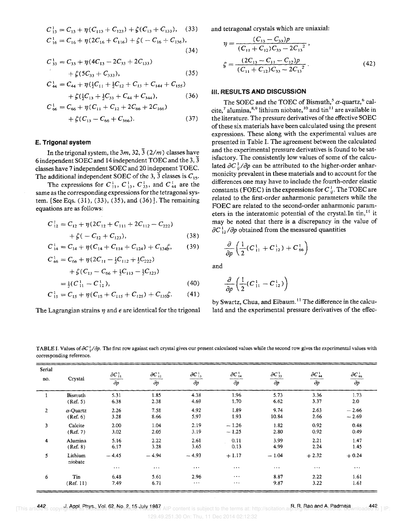$$
C_{13}^{1} = C_{13} + \eta (C_{113} + C_{123}) + \zeta (C_{13} + C_{133}),
$$
 (33)  
\n
$$
C_{16}^{1} = C_{16} + \eta (2C_{16} + C_{116}) + \zeta (-C_{16} + C_{136}),
$$
 (34)

$$
C_{33}^1 = C_{33} + \eta (4C_{13} - 2C_{33} + 2C_{133})
$$
  
+  $\zeta (5C_{33} + C_{333}),$  (35)

$$
C_{44}^1 = C_{44} + \eta(\frac{1}{2}C_{11} + \frac{1}{2}C_{12} + C_{13} + C_{144} + C_{155})
$$

$$
+ \zeta(\frac{1}{2}C_{13} + \frac{1}{2}C_{33} + C_{44} + C_{344}), \qquad (36)
$$

$$
C_{66}^1 = C_{66} + \eta (C_{11} + C_{12} + 2C_{66} + 2C_{166})
$$

$$
+\zeta (C_{13}-C_{66}+C_{366}). \tag{37}
$$

# E. Trigonal system

In the trigonal system, the 3m, 32,  $\overline{3}$  (2/m) classes have 6 independent SOEC and 14 independent TOEC and the 3,  $\overline{3}$ classes have 7 independent SOEC and 20 indepenent TOEC. The additional independent SOEC of the 3,  $\overline{3}$  classes is  $C_{15}$ .

The expressions for  $C_{11}^1$ ,  $C_{13}^1$ ,  $C_{33}^1$ , and  $C_{44}^1$  are the same as the corresponding expressions for the tetragonal system. [See Eqs. (31), (33), (35), and (36)]. The remaining equations are as follows:

$$
C_{12}^{1} = C_{12} + \eta (2C_{12} + C_{111} + 2C_{112} - C_{222})
$$
  
+  $\zeta (-C_{12} + C_{123}),$  (38)

$$
C_{14}^1 = C_{14} + \eta (C_{14} + C_{114} + C_{124}) + C_{134}\zeta, \qquad (39)
$$

$$
C_{66}^1 = C_{66} + \eta (2C_{11} - \frac{1}{2}C_{112} + \frac{1}{2}C_{222})
$$
  
+  $\zeta (C_{13} - C_{66} + \frac{1}{2}C_{113} - \frac{1}{2}C_{123})$  (40)

$$
= \frac{1}{2}(\mathbf{C}_{11} - \mathbf{C}_{12}), \tag{40}
$$

$$
C_{15}^{+} = C_{15} + \eta (C_{15} + C_{115} + C_{125}) + C_{135} \zeta. \tag{41}
$$

The Lagrangian strains  $\eta$  and  $\epsilon$  are identical for the trigonal

and tetragonal crystals which are uniaxial:

$$
\eta = \frac{(C_{13} - C_{33})p}{(C_{11} + C_{12})C_{33} - 2C_{13}^{2}},
$$
  

$$
\zeta = \frac{(2C_{13} - C_{11} - C_{12})p}{(C_{11} + C_{12})C_{33} - 2C_{13}^{2}}.
$$
 (42)

#### **III. RESULTS AND DISCUSSION**

The SOEC and the TOEC of Bismuth,<sup>5</sup>  $\alpha$ -quartz,<sup>6</sup> calcite,<sup>7</sup> alumina,<sup>8,9</sup> lithium niobate,<sup>10</sup> and tin<sup>11</sup> are available in the literature. The pressure derivatives of the effective SOEC of these six materials have been calculated using the present expressions. These along with the experimental values are presented in Table I. The agreement between the calculated and the experimental pressure derivatives is found to be satisfactory. The consistently low values of some of the calculated  $\partial C_{ii}^{1}/\partial p$  can be attributed to the higher-order anharmonicity prevalent in these materials and to account for the differences one may have to include the fourth-order elastic constants (FOEC) in the expressions for  $C_{ij}^1$ . The TOEC are related to the first-order anharmonic parameters while the FOEC are related to the second-order anharmonic parameters in the interatomic potential of the crystal. In tin,<sup>11</sup> it may be noted that there is a discrepancy in the value of  $\partial C_{12}^1/\partial p$  obtained from the measured quantities

$$
\frac{\partial}{\partial p}\left(\frac{1}{2}(C_{11}^1+C_{12}^1)+C_{66}^1\right)
$$

and

$$
\frac{\partial}{\partial p}\left(\frac{1}{2}(C_{11}^1 - C_{12}^1)\right)
$$

by Swartz, Chua, and Elbaum.<sup>11</sup> The difference in the calculatd and the experimental pressure derivatives of the effec-

TABLE I. Values of  $\partial C_4^1/\partial p$ . The first row against each crystal gives our present calculated values while the second row gives the experimental values with corresponding reference.

| Serial         |                    |                                     |                                     |                                     |                                     |                                     |                                     |                                     |
|----------------|--------------------|-------------------------------------|-------------------------------------|-------------------------------------|-------------------------------------|-------------------------------------|-------------------------------------|-------------------------------------|
| no.            | Crystal            | $\partial C_{11}^1$<br>$\partial p$ | $\partial C_{12}^1$<br>$\partial p$ | $\partial C_{13}^1$<br>$\partial p$ | $\partial C_{14}^1$<br>$\partial p$ | $\partial C_{33}^1$<br>$\partial p$ | $\partial C_{44}^1$<br>$\partial p$ | $\partial C_{66}^1$<br>$\partial p$ |
|                | Bismuth            | 5.31                                | 1.85                                | 4.38                                | 1.96                                | 5.73                                | 3.36                                | 1.73                                |
|                | (Ref. 5)           | 6.38                                | 2.38                                | 4.69                                | 1.70                                | 6.62                                | 3.37                                | 2.0                                 |
| $\overline{z}$ | $\alpha$ -Quartz   | 2.26                                | 7.58                                | 4.92                                | 1.89                                | 9.74                                | 2.63                                | $-2.66$                             |
|                | (Ref. 6)           | 3.28                                | 8.66                                | 5.97                                | 1.93                                | 10.84                               | 2.66                                | $-2.69$                             |
| $\mathbf{3}$   | Calcite            | 2.00                                | 1.04                                | 2.19                                | $-1.26$                             | 1.82                                | 0.92                                | 0.48                                |
|                | (Ref. 7)           | 3.02                                | 2.05                                | 3.19                                | $-1.25$                             | 2.80                                | 0.92                                | 0.49                                |
| 4              | <b>Alumina</b>     | 5.16                                | 2.22                                | 2.61                                | 0.11                                | 3.99                                | 2.21                                | 1.47                                |
|                | (Ref. 8)           | 6.17                                | 3.28                                | 3.65                                | 0.13                                | 4.99                                | 2.24                                | 1.45                                |
| 5              | Lithium<br>niobate | $-4.45$                             | $-4.94$                             | $-4.93$                             | $+1.17$                             | $-1.04$                             | $+2.32$                             | $+0.24$                             |
|                |                    | $\sim$ $\sim$ $\sim$                | $\cdots$                            | $\cdots$                            | $\cdots$                            | $\cdots$                            | $\cdots$                            | $\cdots$                            |
| 6              | Tin                | 6.48                                | 5.61                                | 2.96                                | $\cdots$                            | 8.87                                | 2.22                                | 1.61                                |
|                | (Ref. 11)          | 7.49                                | 6.71                                | $\cdots$                            | $\cdots$                            | 9.87                                | 3.22                                | 1.61                                |

442 J. Appl. Phys., Vol. 62, No. 2, 15 July 1987.

AIP content is subject to the terms at: http://scitation.a 129.49.251.30 On: Thu, 11 Dec 2014 02:12:32

442